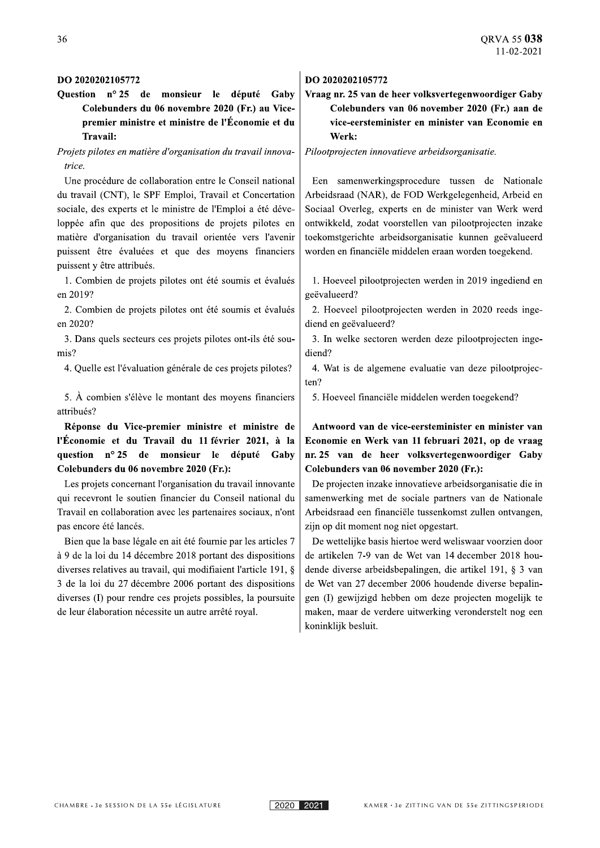#### DO 2020202105772

Question nº 25 de monsieur le député Gaby Colebunders du 06 novembre 2020 (Fr.) au Vicepremier ministre et ministre de l'Économie et du Travail:

### Projets pilotes en matière d'organisation du travail innovatrice.

Une procédure de collaboration entre le Conseil national du travail (CNT), le SPF Emploi, Travail et Concertation sociale, des experts et le ministre de l'Emploi a été développée afin que des propositions de projets pilotes en matière d'organisation du travail orientée vers l'avenir puissent être évaluées et que des moyens financiers puissent y être attribués.

1. Combien de projets pilotes ont été soumis et évalués en 2019?

2. Combien de projets pilotes ont été soumis et évalués en 2020?

3. Dans quels secteurs ces projets pilotes ont-ils été soumis?

4. Quelle est l'évaluation générale de ces projets pilotes?  $\vert$  4. Wat is de algemene evaluatie van deze pilootprojec-

5. À combien s'élève le montant des moyens financiers attribués?

Réponse du Vice-premier ministre et ministre de l'Économie et du Travail du 11 février 2021, à la question nº 25 de monsieur le député Gaby Colebunders du 06 novembre 2020 (Fr.):

Les projets concernant l'organisation du travail innovante qui recevront le soutien financier du Conseil national du Travail en collaboration avec les partenaires sociaux, n'ont pas encore été lancés.

Bien que la base légale en ait été fournie par les articles 7 à 9 de la loi du 14 décembre 2018 portant des dispositions diverses relatives au travail, qui modifiaient l'article 191,  $\S$  $\frac{3}{x}$  de la loi du 27 decembre 2006 portant des dispositions diverses (I) pour rendre ces projets possibles, la poursuite de leur élaboration nécessite un autre arrêté royal.

#### DO 2020202105772

# Vraag nr. 25 van de heer volksvertegenwoordiger Gaby Colebunders van 06 november 2020 (Fr.) aan de vice-eersteminister en minister van Economie en Werk:

Pilootprojecten innovatieve arbeidsorganisatie.

Een samenwerkingsprocedure tussen de Nationale Arbeidsraad (NAR), de FOD Werkgelegenheid, Arbeid en Sociaal Overleg, experts en de minister van Werk werd ontwikkeld, zodat voorstellen van pilootprojecten inzake toekomstgerichte arbeidsorganisatie kunnen geëvalueerd worden en financiële middelen eraan worden toegekend.

1. Hoeveel pilootprojecten werden in 2019 ingediend en geëvalueerd?

2. Hoeveel pilootprojecten werden in 2020 reeds ingediend en geëvalueerd?

3. In welke sectoren werden deze pilootprojecten ingediend?

ten?

5. Hoeveel financiële middelen werden toegekend?

Antwoord van de vice-eersteminister en minister van Economie en Werk van 11 februari 2021, op de vraag nr. 25 van de heer volksvertegenwoordiger Gaby Colebunders van 06 november 2020 (Fr.):

De projecten inzake innovatieve arbeidsorganisatie die in samenwerking met de sociale partners van de Nationale Arbeidsraad een financiële tussenkomst zullen ontvangen, zijn op dit moment nog niet opgestart.

De wettelijke basis hiertoe werd weliswaar voorzien door de artikelen 7-9 van de Wet van 14 december 2018 houdende diverse arbeidsbepalingen, die artikel 191,  $\S$  3 van de Wet van  $27$  december 2006 houdende diverse bepalingen (I) gewijzigd hebben om deze projecten mogelijk te maken, maar de verdere uitwerking veronderstelt nog een koninklijk besluit.